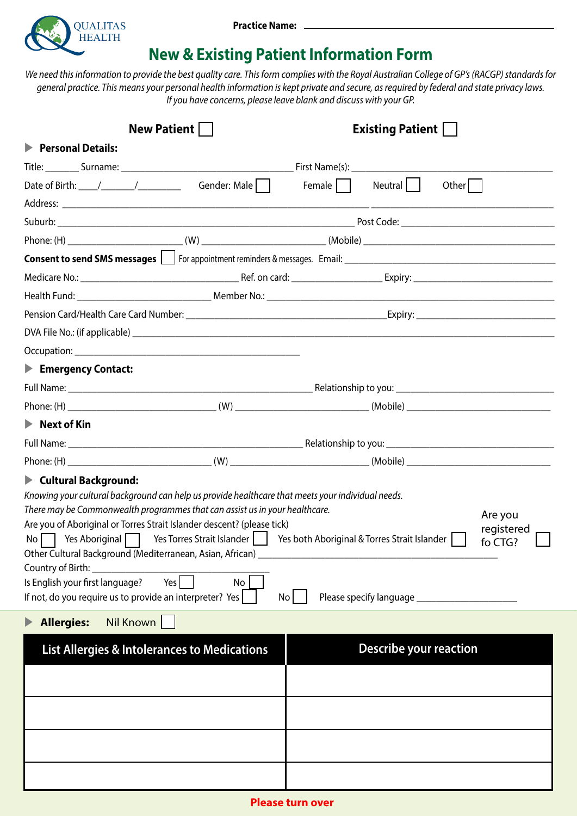

## **New & Existing Patient Information Form**

*We need this information to provide the best quality care. This form complies with the Royal Australian College of GP's (RACGP) standards for general practice. This means your personal health information is kept private and secure, as required by federal and state privacy laws. If you have concerns, please leave blank and discuss with your GP.*

| <b>New Patient    </b>                                                                                                                                                                                                                                                                                                                                                                                                                                                                                                                                                                                |              | <b>Existing Patient    </b> |                               |                                  |
|-------------------------------------------------------------------------------------------------------------------------------------------------------------------------------------------------------------------------------------------------------------------------------------------------------------------------------------------------------------------------------------------------------------------------------------------------------------------------------------------------------------------------------------------------------------------------------------------------------|--------------|-----------------------------|-------------------------------|----------------------------------|
| Personal Details:                                                                                                                                                                                                                                                                                                                                                                                                                                                                                                                                                                                     |              |                             |                               |                                  |
|                                                                                                                                                                                                                                                                                                                                                                                                                                                                                                                                                                                                       |              |                             |                               |                                  |
| Date of Birth: $\frac{1}{\sqrt{1-\frac{1}{2}}}\frac{1}{\sqrt{1-\frac{1}{2}}}\frac{1}{\sqrt{1-\frac{1}{2}}}\frac{1}{\sqrt{1-\frac{1}{2}}}\frac{1}{\sqrt{1-\frac{1}{2}}}\frac{1}{\sqrt{1-\frac{1}{2}}}\frac{1}{\sqrt{1-\frac{1}{2}}}\frac{1}{\sqrt{1-\frac{1}{2}}}\frac{1}{\sqrt{1-\frac{1}{2}}}\frac{1}{\sqrt{1-\frac{1}{2}}}\frac{1}{\sqrt{1-\frac{1}{2}}}\frac{1}{\sqrt{1-\frac{1}{2}}}\frac{1}{\sqrt{1-\frac{1$                                                                                                                                                                                     | Gender: Male | Female                      | Neutral    <br>Other          |                                  |
|                                                                                                                                                                                                                                                                                                                                                                                                                                                                                                                                                                                                       |              |                             |                               |                                  |
|                                                                                                                                                                                                                                                                                                                                                                                                                                                                                                                                                                                                       |              |                             |                               |                                  |
|                                                                                                                                                                                                                                                                                                                                                                                                                                                                                                                                                                                                       |              |                             |                               |                                  |
|                                                                                                                                                                                                                                                                                                                                                                                                                                                                                                                                                                                                       |              |                             |                               |                                  |
|                                                                                                                                                                                                                                                                                                                                                                                                                                                                                                                                                                                                       |              |                             |                               |                                  |
|                                                                                                                                                                                                                                                                                                                                                                                                                                                                                                                                                                                                       |              |                             |                               |                                  |
|                                                                                                                                                                                                                                                                                                                                                                                                                                                                                                                                                                                                       |              |                             |                               |                                  |
|                                                                                                                                                                                                                                                                                                                                                                                                                                                                                                                                                                                                       |              |                             |                               |                                  |
| Emergency Contact:                                                                                                                                                                                                                                                                                                                                                                                                                                                                                                                                                                                    |              |                             |                               |                                  |
|                                                                                                                                                                                                                                                                                                                                                                                                                                                                                                                                                                                                       |              |                             |                               |                                  |
|                                                                                                                                                                                                                                                                                                                                                                                                                                                                                                                                                                                                       |              |                             |                               |                                  |
| $\blacktriangleright$ Next of Kin                                                                                                                                                                                                                                                                                                                                                                                                                                                                                                                                                                     |              |                             |                               |                                  |
|                                                                                                                                                                                                                                                                                                                                                                                                                                                                                                                                                                                                       |              |                             |                               |                                  |
|                                                                                                                                                                                                                                                                                                                                                                                                                                                                                                                                                                                                       |              |                             |                               |                                  |
| $\blacktriangleright$ Cultural Background:<br>Knowing your cultural background can help us provide healthcare that meets your individual needs.<br>There may be Commonwealth programmes that can assist us in your healthcare.<br>Are you of Aboriginal or Torres Strait Islander descent? (please tick)<br>No Yes Aboriginal   Yes Torres Strait Islander   Yes both Aboriginal & Torres Strait Islander  <br>Other Cultural Background (Mediterranean, Asian, African)<br>Country of Birth:<br>Is English your first language?<br>Yes  <br>If not, do you require us to provide an interpreter? Yes | No           | No <sub>1</sub>             |                               | Are you<br>registered<br>fo CTG? |
| Nil Known<br><b>Allergies:</b>                                                                                                                                                                                                                                                                                                                                                                                                                                                                                                                                                                        |              |                             |                               |                                  |
| <b>List Allergies &amp; Intolerances to Medications</b>                                                                                                                                                                                                                                                                                                                                                                                                                                                                                                                                               |              |                             | <b>Describe your reaction</b> |                                  |
|                                                                                                                                                                                                                                                                                                                                                                                                                                                                                                                                                                                                       |              |                             |                               |                                  |
|                                                                                                                                                                                                                                                                                                                                                                                                                                                                                                                                                                                                       |              |                             |                               |                                  |
|                                                                                                                                                                                                                                                                                                                                                                                                                                                                                                                                                                                                       |              |                             |                               |                                  |
|                                                                                                                                                                                                                                                                                                                                                                                                                                                                                                                                                                                                       |              |                             |                               |                                  |
|                                                                                                                                                                                                                                                                                                                                                                                                                                                                                                                                                                                                       |              |                             |                               |                                  |
|                                                                                                                                                                                                                                                                                                                                                                                                                                                                                                                                                                                                       |              |                             |                               |                                  |
|                                                                                                                                                                                                                                                                                                                                                                                                                                                                                                                                                                                                       |              |                             |                               |                                  |